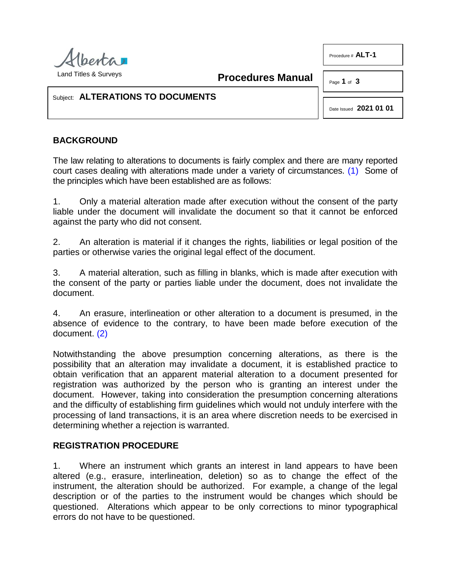

<span id="page-0-0"></span>**Procedures Manual**

Page **1** of **3**

Procedure # **ALT-1**

## Subject: **ALTERATIONS TO DOCUMENTS**

Date Issued **2021 01 01**

## **BACKGROUND**

The law relating to alterations to documents is fairly complex and there are many reported court cases dealing with alterations made under a variety of circumstances. [\(1\)](#page-2-0) Some of the principles which have been established are as follows:

1. Only a material alteration made after execution without the consent of the party liable under the document will invalidate the document so that it cannot be enforced against the party who did not consent.

2. An alteration is material if it changes the rights, liabilities or legal position of the parties or otherwise varies the original legal effect of the document.

3. A material alteration, such as filling in blanks, which is made after execution with the consent of the party or parties liable under the document, does not invalidate the document.

<span id="page-0-1"></span>4. An erasure, interlineation or other alteration to a document is presumed, in the absence of evidence to the contrary, to have been made before execution of the document. [\(2\)](#page-2-1)

Notwithstanding the above presumption concerning alterations, as there is the possibility that an alteration may invalidate a document, it is established practice to obtain verification that an apparent material alteration to a document presented for registration was authorized by the person who is granting an interest under the document. However, taking into consideration the presumption concerning alterations and the difficulty of establishing firm guidelines which would not unduly interfere with the processing of land transactions, it is an area where discretion needs to be exercised in determining whether a rejection is warranted.

## **REGISTRATION PROCEDURE**

1. Where an instrument which grants an interest in land appears to have been altered (e.g., erasure, interlineation, deletion) so as to change the effect of the instrument, the alteration should be authorized. For example, a change of the legal description or of the parties to the instrument would be changes which should be questioned. Alterations which appear to be only corrections to minor typographical errors do not have to be questioned.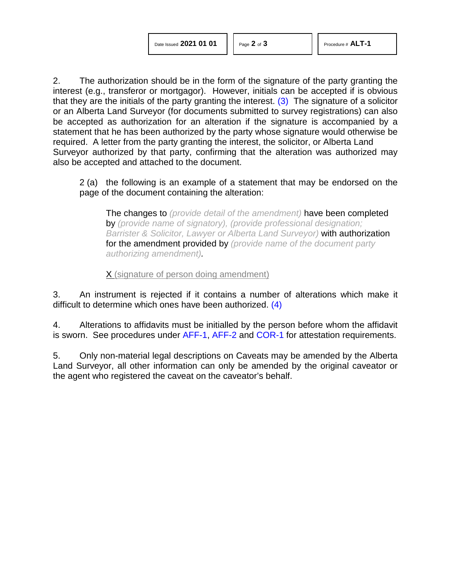2. The authorization should be in the form of the signature of the party granting the interest (e.g., transferor or mortgagor). However, initials can be accepted if is obvious that they are the initials of the party granting the interest. [\(3\)](#page-2-2) The signature of a solicitor or an Alberta Land Surveyor (for documents submitted to survey registrations) can also be accepted as authorization for an alteration if the signature is accompanied by a statement that he has been authorized by the party whose signature would otherwise be required. A letter from the party granting the interest, the solicitor, or Alberta Land Surveyor authorized by that party, confirming that the alteration was authorized may also be accepted and attached to the document.

2 (a) the following is an example of a statement that may be endorsed on the page of the document containing the alteration:

<span id="page-1-0"></span>The changes to *(provide detail of the amendment)* have been completed by *(provide name of signatory), (provide professional designation; Barrister & Solicitor, Lawyer or Alberta Land Surveyor)* with authorization for the amendment provided by *(provide name of the document party authorizing amendment).*

<span id="page-1-1"></span>X (signature of person doing amendment)

3. An instrument is rejected if it contains a number of alterations which make it difficult to determine which ones have been authorized. [\(4\)](#page-2-3)

4. Alterations to affidavits must be initialled by the person before whom the affidavit is sworn. See procedures under [AFF-1,](http://www.servicealberta.ca/pdf/ltmanual/AFF-1.pdf) [AFF-2](http://www.servicealberta.ca/pdf/ltmanual/AFF-2.pdf) and [COR-1](http://www.servicealberta.ca/pdf/ltmanual/COR-1.pdf) for attestation requirements.

5. Only non-material legal descriptions on Caveats may be amended by the Alberta Land Surveyor, all other information can only be amended by the original caveator or the agent who registered the caveat on the caveator's behalf.